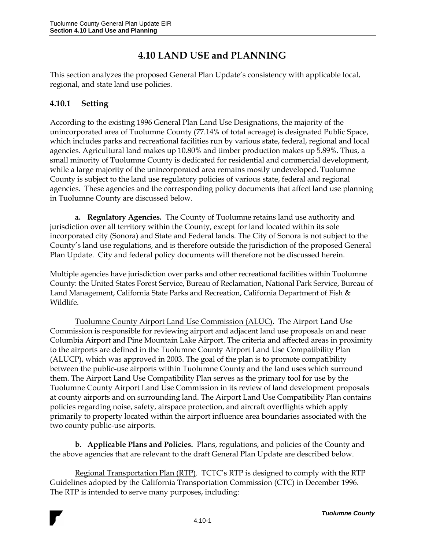# **4.10 LAND USE and PLANNING**

This section analyzes the proposed General Plan Update's consistency with applicable local, regional, and state land use policies.

## **4.10.1 Setting**

According to the existing 1996 General Plan Land Use Designations, the majority of the unincorporated area of Tuolumne County (77.14% of total acreage) is designated Public Space, which includes parks and recreational facilities run by various state, federal, regional and local agencies. Agricultural land makes up 10.80% and timber production makes up 5.89%. Thus, a small minority of Tuolumne County is dedicated for residential and commercial development, while a large majority of the unincorporated area remains mostly undeveloped. Tuolumne County is subject to the land use regulatory policies of various state, federal and regional agencies. These agencies and the corresponding policy documents that affect land use planning in Tuolumne County are discussed below.

**a. Regulatory Agencies.** The County of Tuolumne retains land use authority and jurisdiction over all territory within the County, except for land located within its sole incorporated city (Sonora) and State and Federal lands. The City of Sonora is not subject to the County's land use regulations, and is therefore outside the jurisdiction of the proposed General Plan Update. City and federal policy documents will therefore not be discussed herein.

Multiple agencies have jurisdiction over parks and other recreational facilities within Tuolumne County: the United States Forest Service, Bureau of Reclamation, National Park Service, Bureau of Land Management, California State Parks and Recreation, California Department of Fish & Wildlife.

Tuolumne County Airport Land Use Commission (ALUC). The Airport Land Use Commission is responsible for reviewing airport and adjacent land use proposals on and near Columbia Airport and Pine Mountain Lake Airport. The criteria and affected areas in proximity to the airports are defined in the Tuolumne County Airport Land Use Compatibility Plan (ALUCP), which was approved in 2003. The goal of the plan is to promote compatibility between the public-use airports within Tuolumne County and the land uses which surround them. The Airport Land Use Compatibility Plan serves as the primary tool for use by the Tuolumne County Airport Land Use Commission in its review of land development proposals at county airports and on surrounding land. The Airport Land Use Compatibility Plan contains policies regarding noise, safety, airspace protection, and aircraft overflights which apply primarily to property located within the airport influence area boundaries associated with the two county public-use airports.

**b. Applicable Plans and Policies.** Plans, regulations, and policies of the County and the above agencies that are relevant to the draft General Plan Update are described below.

Regional Transportation Plan (RTP). TCTC's RTP is designed to comply with the RTP Guidelines adopted by the California Transportation Commission (CTC) in December 1996. The RTP is intended to serve many purposes, including: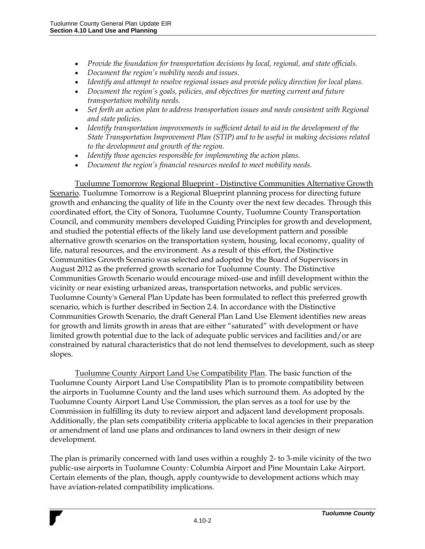- *Provide the foundation for transportation decisions by local, regional, and state officials.*
- *Document the region's mobility needs and issues.*
- *Identify and attempt to resolve regional issues and provide policy direction for local plans.*
- *Document the region's goals, policies, and objectives for meeting current and future transportation mobility needs.*
- Set forth an action plan to address transportation issues and needs consistent with Regional *and state policies.*
- *Identify transportation improvements in sufficient detail to aid in the development of the State Transportation Improvement Plan (STIP) and to be useful in making decisions related to the development and growth of the region.*
- *Identify those agencies responsible for implementing the action plans.*
- *Document the region's financial resources needed to meet mobility needs.*

Tuolumne Tomorrow Regional Blueprint - Distinctive Communities Alternative Growth Scenario. Tuolumne Tomorrow is a Regional Blueprint planning process for directing future growth and enhancing the quality of life in the County over the next few decades. Through this coordinated effort, the City of Sonora, Tuolumne County, Tuolumne County Transportation Council, and community members developed Guiding Principles for growth and development, and studied the potential effects of the likely land use development pattern and possible alternative growth scenarios on the transportation system, housing, local economy, quality of life, natural resources, and the environment. As a result of this effort, the Distinctive Communities Growth Scenario was selected and adopted by the Board of Supervisors in August 2012 as the preferred growth scenario for Tuolumne County. The Distinctive Communities Growth Scenario would encourage mixed-use and infill development within the vicinity or near existing urbanized areas, transportation networks, and public services. Tuolumne County's General Plan Update has been formulated to reflect this preferred growth scenario, which is further described in Section 2.4. In accordance with the Distinctive Communities Growth Scenario, the draft General Plan Land Use Element identifies new areas for growth and limits growth in areas that are either "saturated" with development or have limited growth potential due to the lack of adequate public services and facilities and/or are constrained by natural characteristics that do not lend themselves to development, such as steep slopes.

Tuolumne County Airport Land Use Compatibility Plan. The basic function of the Tuolumne County Airport Land Use Compatibility Plan is to promote compatibility between the airports in Tuolumne County and the land uses which surround them. As adopted by the Tuolumne County Airport Land Use Commission, the plan serves as a tool for use by the Commission in fulfilling its duty to review airport and adjacent land development proposals. Additionally, the plan sets compatibility criteria applicable to local agencies in their preparation or amendment of land use plans and ordinances to land owners in their design of new development.

The plan is primarily concerned with land uses within a roughly 2- to 3-mile vicinity of the two public-use airports in Tuolumne County: Columbia Airport and Pine Mountain Lake Airport. Certain elements of the plan, though, apply countywide to development actions which may have aviation-related compatibility implications.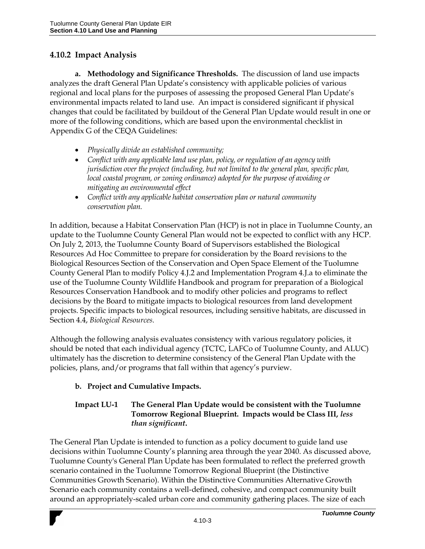### **4.10.2 Impact Analysis**

**a. Methodology and Significance Thresholds.** The discussion of land use impacts analyzes the draft General Plan Update's consistency with applicable policies of various regional and local plans for the purposes of assessing the proposed General Plan Update's environmental impacts related to land use. An impact is considered significant if physical changes that could be facilitated by buildout of the General Plan Update would result in one or more of the following conditions, which are based upon the environmental checklist in Appendix G of the CEQA Guidelines:

- *Physically divide an established community;*
- *Conflict with any applicable land use plan, policy, or regulation of an agency with jurisdiction over the project (including, but not limited to the general plan, specific plan, local coastal program, or zoning ordinance*) adopted for the purpose of avoiding or *mitigating an environmental effect*
- *Conflict with any applicable habitat conservation plan or natural community conservation plan.*

In addition, because a Habitat Conservation Plan (HCP) is not in place in Tuolumne County, an update to the Tuolumne County General Plan would not be expected to conflict with any HCP. On July 2, 2013, the Tuolumne County Board of Supervisors established the Biological Resources Ad Hoc Committee to prepare for consideration by the Board revisions to the Biological Resources Section of the Conservation and Open Space Element of the Tuolumne County General Plan to modify Policy 4.J.2 and Implementation Program 4.J.a to eliminate the use of the Tuolumne County Wildlife Handbook and program for preparation of a Biological Resources Conservation Handbook and to modify other policies and programs to reflect decisions by the Board to mitigate impacts to biological resources from land development projects. Specific impacts to biological resources, including sensitive habitats, are discussed in Section 4.4, *Biological Resources.* 

Although the following analysis evaluates consistency with various regulatory policies, it should be noted that each individual agency (TCTC, LAFCo of Tuolumne County, and ALUC) ultimately has the discretion to determine consistency of the General Plan Update with the policies, plans, and/or programs that fall within that agency's purview.

#### **b. Project and Cumulative Impacts.**

#### **Impact LU-1 The General Plan Update would be consistent with the Tuolumne Tomorrow Regional Blueprint. Impacts would be Class III,** *less than significant***.**

The General Plan Update is intended to function as a policy document to guide land use decisions within Tuolumne County's planning area through the year 2040. As discussed above, Tuolumne County's General Plan Update has been formulated to reflect the preferred growth scenario contained in the Tuolumne Tomorrow Regional Blueprint (the Distinctive Communities Growth Scenario). Within the Distinctive Communities Alternative Growth Scenario each community contains a well-defined, cohesive, and compact community built around an appropriately-scaled urban core and community gathering places. The size of each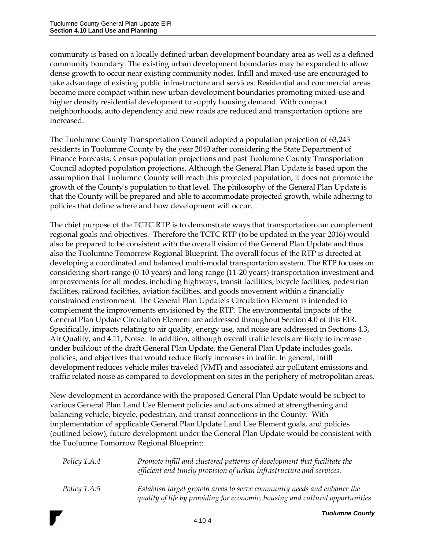community is based on a locally defined urban development boundary area as well as a defined community boundary. The existing urban development boundaries may be expanded to allow dense growth to occur near existing community nodes. Infill and mixed-use are encouraged to take advantage of existing public infrastructure and services. Residential and commercial areas become more compact within new urban development boundaries promoting mixed-use and higher density residential development to supply housing demand. With compact neighborhoods, auto dependency and new roads are reduced and transportation options are increased.

The Tuolumne County Transportation Council adopted a population projection of 63,243 residents in Tuolumne County by the year 2040 after considering the State Department of Finance Forecasts, Census population projections and past Tuolumne County Transportation Council adopted population projections. Although the General Plan Update is based upon the assumption that Tuolumne County will reach this projected population, it does not promote the growth of the County's population to that level. The philosophy of the General Plan Update is that the County will be prepared and able to accommodate projected growth, while adhering to policies that define where and how development will occur.

The chief purpose of the TCTC RTP is to demonstrate ways that transportation can complement regional goals and objectives. Therefore the TCTC RTP (to be updated in the year 2016) would also be prepared to be consistent with the overall vision of the General Plan Update and thus also the Tuolumne Tomorrow Regional Blueprint. The overall focus of the RTP is directed at developing a coordinated and balanced multi-modal transportation system. The RTP focuses on considering short-range (0-10 years) and long range (11-20 years) transportation investment and improvements for all modes, including highways, transit facilities, bicycle facilities, pedestrian facilities, railroad facilities, aviation facilities, and goods movement within a financially constrained environment. The General Plan Update's Circulation Element is intended to complement the improvements envisioned by the RTP. The environmental impacts of the General Plan Update Circulation Element are addressed throughout Section 4.0 of this EIR. Specifically, impacts relating to air quality, energy use, and noise are addressed in Sections 4.3, Air Quality, and 4.11, Noise. In addition, although overall traffic levels are likely to increase under buildout of the draft General Plan Update, the General Plan Update includes goals, policies, and objectives that would reduce likely increases in traffic. In general, infill development reduces vehicle miles traveled (VMT) and associated air pollutant emissions and traffic related noise as compared to development on sites in the periphery of metropolitan areas.

New development in accordance with the proposed General Plan Update would be subject to various General Plan Land Use Element policies and actions aimed at strengthening and balancing vehicle, bicycle, pedestrian, and transit connections in the County. With implementation of applicable General Plan Update Land Use Element goals, and policies (outlined below), future development under the General Plan Update would be consistent with the Tuolumne Tomorrow Regional Blueprint:

| Policy 1.A.4        | Promote infill and clustered patterns of development that facilitate the<br>efficient and timely provision of urban infrastructure and services.        |
|---------------------|---------------------------------------------------------------------------------------------------------------------------------------------------------|
| <i>Policy 1.A.5</i> | Establish target growth areas to serve community needs and enhance the<br>quality of life by providing for economic, housing and cultural opportunities |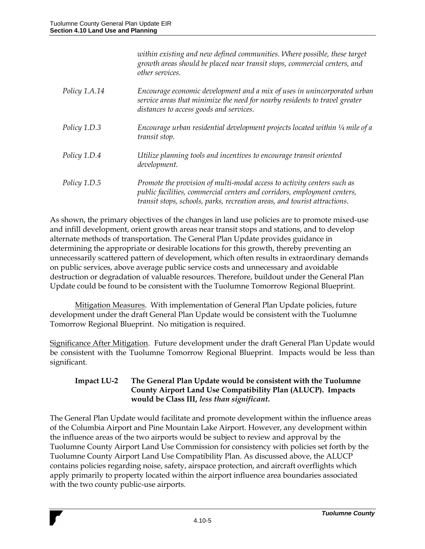|               | within existing and new defined communities. Where possible, these target<br>growth areas should be placed near transit stops, commercial centers, and<br>other services.                                                        |
|---------------|----------------------------------------------------------------------------------------------------------------------------------------------------------------------------------------------------------------------------------|
| Policy 1.A.14 | Encourage economic development and a mix of uses in unincorporated urban<br>service areas that minimize the need for nearby residents to travel greater<br>distances to access goods and services.                               |
| Policy 1.D.3  | Encourage urban residential development projects located within $\frac{1}{4}$ mile of a<br>transit stop.                                                                                                                         |
| Policy 1.D.4  | Utilize planning tools and incentives to encourage transit oriented<br>development.                                                                                                                                              |
| Policy 1.D.5  | Promote the provision of multi-modal access to activity centers such as<br>public facilities, commercial centers and corridors, employment centers,<br>transit stops, schools, parks, recreation areas, and tourist attractions. |

As shown, the primary objectives of the changes in land use policies are to promote mixed-use and infill development, orient growth areas near transit stops and stations, and to develop alternate methods of transportation. The General Plan Update provides guidance in determining the appropriate or desirable locations for this growth, thereby preventing an unnecessarily scattered pattern of development, which often results in extraordinary demands on public services, above average public service costs and unnecessary and avoidable destruction or degradation of valuable resources. Therefore, buildout under the General Plan Update could be found to be consistent with the Tuolumne Tomorrow Regional Blueprint.

Mitigation Measures. With implementation of General Plan Update policies, future development under the draft General Plan Update would be consistent with the Tuolumne Tomorrow Regional Blueprint. No mitigation is required.

Significance After Mitigation. Future development under the draft General Plan Update would be consistent with the Tuolumne Tomorrow Regional Blueprint. Impacts would be less than significant.

#### **Impact LU-2 The General Plan Update would be consistent with the Tuolumne County Airport Land Use Compatibility Plan (ALUCP). Impacts would be Class III,** *less than significant***.**

The General Plan Update would facilitate and promote development within the influence areas of the Columbia Airport and Pine Mountain Lake Airport. However, any development within the influence areas of the two airports would be subject to review and approval by the Tuolumne County Airport Land Use Commission for consistency with policies set forth by the Tuolumne County Airport Land Use Compatibility Plan. As discussed above, the ALUCP contains policies regarding noise, safety, airspace protection, and aircraft overflights which apply primarily to property located within the airport influence area boundaries associated with the two county public-use airports.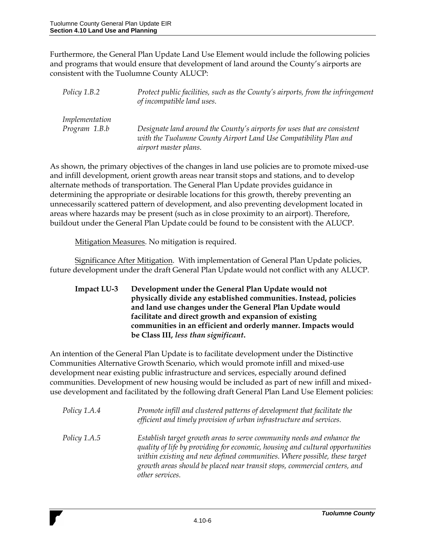Furthermore, the General Plan Update Land Use Element would include the following policies and programs that would ensure that development of land around the County's airports are consistent with the Tuolumne County ALUCP:

*Policy 1.B.2 Protect public facilities, such as the County's airports, from the infringement of incompatible land uses. Implementation Program 1.B.b Designate land around the County's airports for uses that are consistent with the Tuolumne County Airport Land Use Compatibility Plan and airport master plans.*

As shown, the primary objectives of the changes in land use policies are to promote mixed-use and infill development, orient growth areas near transit stops and stations, and to develop alternate methods of transportation. The General Plan Update provides guidance in determining the appropriate or desirable locations for this growth, thereby preventing an unnecessarily scattered pattern of development, and also preventing development located in areas where hazards may be present (such as in close proximity to an airport). Therefore, buildout under the General Plan Update could be found to be consistent with the ALUCP.

Mitigation Measures. No mitigation is required.

Significance After Mitigation. With implementation of General Plan Update policies, future development under the draft General Plan Update would not conflict with any ALUCP.

**Impact LU-3 Development under the General Plan Update would not physically divide any established communities. Instead, policies and land use changes under the General Plan Update would facilitate and direct growth and expansion of existing communities in an efficient and orderly manner. Impacts would be Class III,** *less than significant***.** 

An intention of the General Plan Update is to facilitate development under the Distinctive Communities Alternative Growth Scenario, which would promote infill and mixed-use development near existing public infrastructure and services, especially around defined communities. Development of new housing would be included as part of new infill and mixeduse development and facilitated by the following draft General Plan Land Use Element policies:

| Policy 1.A.4        | Promote infill and clustered patterns of development that facilitate the<br>efficient and timely provision of urban infrastructure and services.                                                                                                                                                                                     |
|---------------------|--------------------------------------------------------------------------------------------------------------------------------------------------------------------------------------------------------------------------------------------------------------------------------------------------------------------------------------|
| <i>Policy 1.A.5</i> | Establish target growth areas to serve community needs and enhance the<br>quality of life by providing for economic, housing and cultural opportunities<br>within existing and new defined communities. Where possible, these target<br>growth areas should be placed near transit stops, commercial centers, and<br>other services. |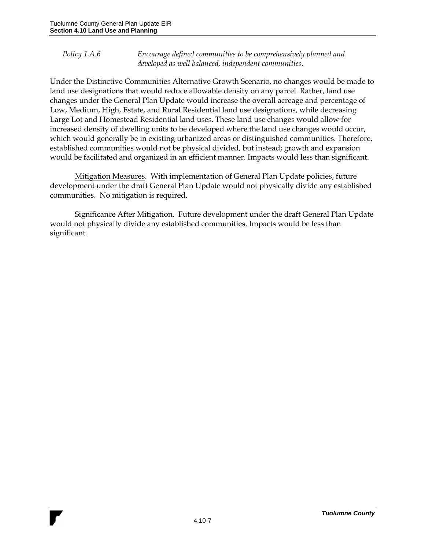*Policy 1.A.6 Encourage defined communities to be comprehensively planned and developed as well balanced, independent communities.*

Under the Distinctive Communities Alternative Growth Scenario, no changes would be made to land use designations that would reduce allowable density on any parcel. Rather, land use changes under the General Plan Update would increase the overall acreage and percentage of Low, Medium, High, Estate, and Rural Residential land use designations, while decreasing Large Lot and Homestead Residential land uses. These land use changes would allow for increased density of dwelling units to be developed where the land use changes would occur, which would generally be in existing urbanized areas or distinguished communities. Therefore, established communities would not be physical divided, but instead; growth and expansion would be facilitated and organized in an efficient manner. Impacts would less than significant.

Mitigation Measures. With implementation of General Plan Update policies, future development under the draft General Plan Update would not physically divide any established communities. No mitigation is required.

Significance After Mitigation. Future development under the draft General Plan Update would not physically divide any established communities. Impacts would be less than significant.